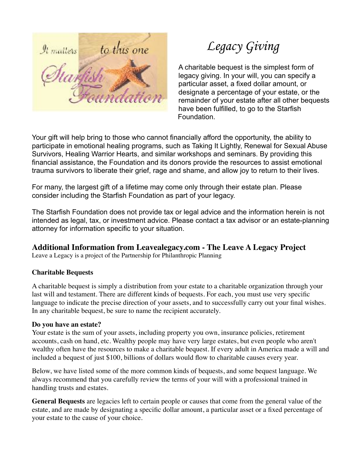

 *Legacy Giving*

A charitable bequest is the simplest form of legacy giving. In your will, you can specify a particular asset, a fixed dollar amount, or designate a percentage of your estate, or the remainder of your estate after all other bequests have been fulfilled, to go to the Starfish Foundation.

Your gift will help bring to those who cannot financially afford the opportunity, the ability to participate in emotional healing programs, such as Taking It Lightly, Renewal for Sexual Abuse Survivors, Healing Warrior Hearts, and similar workshops and seminars. By providing this financial assistance, the Foundation and its donors provide the resources to assist emotional trauma survivors to liberate their grief, rage and shame, and allow joy to return to their lives.

For many, the largest gift of a lifetime may come only through their estate plan. Please consider including the Starfish Foundation as part of your legacy.

The Starfish Foundation does not provide tax or legal advice and the information herein is not intended as legal, tax, or investment advice. Please contact a tax advisor or an estate-planning attorney for information specific to your situation.

## **Additional Information from Leavealegacy.com - The Leave A Legacy Project**

Leave a Legacy is a project of the Partnership for Philanthropic Planning

## **Charitable Bequests**

A charitable bequest is simply a distribution from your estate to a charitable organization through your last will and testament. There are different kinds of bequests. For each, you must use very specific language to indicate the precise direction of your assets, and to successfully carry out your final wishes. In any charitable bequest, be sure to name the recipient accurately.

## **Do you have an estate?**

Your estate is the sum of your assets, including property you own, insurance policies, retirement accounts, cash on hand, etc. Wealthy people may have very large estates, but even people who aren't wealthy often have the resources to make a charitable bequest. If every adult in America made a will and included a bequest of just \$100, billions of dollars would flow to charitable causes every year.

Below, we have listed some of the more common kinds of bequests, and some bequest language. We always recommend that you carefully review the terms of your will with a professional trained in handling trusts and estates.

**General Bequests** are legacies left to certain people or causes that come from the general value of the estate, and are made by designating a specific dollar amount, a particular asset or a fixed percentage of your estate to the cause of your choice.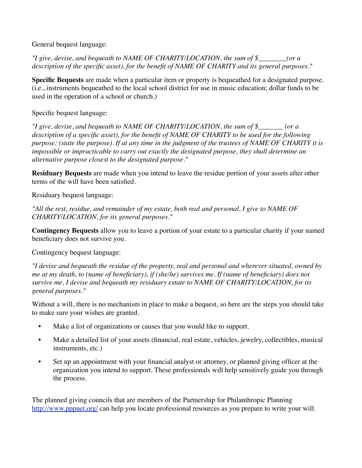General bequest language:

*"I give, devise, and bequeath to NAME OF CHARITY/LOCATION, the sum of \$\_\_\_\_\_\_\_\_(or a description of the specific asset), for the benefit of NAME OF CHARITY and its general purposes."*

**Specific Bequests** are made when a particular item or property is bequeathed for a designated purpose. (i.e., instruments bequeathed to the local school district for use in music education; dollar funds to be used in the operation of a school or church.)

Specific bequest language:

*"I give, devise, and bequeath to NAME OF CHARITY/LOCATION, the sum of \$\_\_\_\_\_\_\_ (or a description of a specific asset), for the benefit of NAME OF CHARITY to be used for the following purpose: (state the purpose). If at any time in the judgment of the trustees of NAME OF CHARITY it is impossible or impracticable to carry out exactly the designated purpose, they shall determine an alternative purpose closest to the designated purpose."*

**Residuary Bequests** are made when you intend to leave the residue portion of your assets after other terms of the will have been satisfied.

Residuary bequest language:

*"All the rest, residue, and remainder of my estate, both real and personal, I give to NAME OF CHARITY/LOCATION, for its general purposes."*

**Contingency Bequests** allow you to leave a portion of your estate to a particular charity if your named beneficiary does not survive you.

Contingency bequest language:

*"I devise and bequeath the residue of the property, real and personal and wherever situated, owned by me at my death, to (name of beneficiary), if (she/he) survives me. If (name of beneficiary) does not survive me, I devise and bequeath my residuary estate to NAME OF CHARITY/LOCATION, for its general purposes."*

Without a will, there is no mechanism in place to make a bequest, so here are the steps you should take to make sure your wishes are granted.

- Make a list of organizations or causes that you would like to support.
- Make a detailed list of your assets (financial, real estate, vehicles, jewelry, collectibles, musical instruments, etc.)
- Set up an appointment with your financial analyst or attorney, or planned giving officer at the organization you intend to support. These professionals will help sensitively guide you through the process.

The planned giving councils that are members of the [Partnership for Philanthropic Planning](http://www.pppnet.org/)  <http://www.pppnet.org/>can help you locate professional resources as you prepare to write your will.